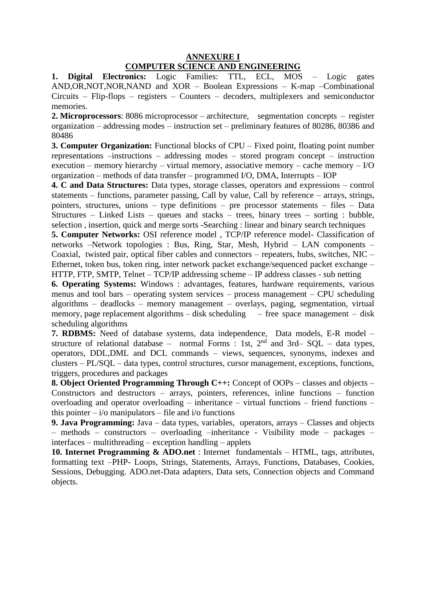## **ANNEXURE I COMPUTER SCIENCE AND ENGINEERING**

**1. Digital Electronics:** Logic Families: TTL, ECL, MOS – Logic gates AND,OR,NOT,NOR,NAND and XOR – Boolean Expressions – K-map –Combinational Circuits – Flip-flops – registers – Counters – decoders, multiplexers and semiconductor memories.

**2. Microprocessors**: 8086 microprocessor – architecture, segmentation concepts – register organization – addressing modes – instruction set – preliminary features of 80286, 80386 and 80486

**3. Computer Organization:** Functional blocks of CPU – Fixed point, floating point number representations –instructions – addressing modes – stored program concept – instruction execution – memory hierarchy – virtual memory, associative memory – cache memory – I/O organization – methods of data transfer – programmed I/O, DMA, Interrupts – IOP

**4. C and Data Structures:** Data types, storage classes, operators and expressions – control statements – functions, parameter passing, Call by value, Call by reference – arrays, strings, pointers, structures, unions – type definitions – pre processor statements – files – Data Structures – Linked Lists – queues and stacks – trees, binary trees – sorting : bubble, selection , insertion, quick and merge sorts -Searching : linear and binary search techniques

**5. Computer Networks:** OSI reference model , TCP/IP reference model- Classification of networks –Network topologies : Bus, Ring, Star, Mesh, Hybrid – LAN components – Coaxial, twisted pair, optical fiber cables and connectors – repeaters, hubs, switches, NIC – Ethernet, token bus, token ring, inter network packet exchange/sequenced packet exchange – HTTP, FTP, SMTP, Telnet – TCP/IP addressing scheme – IP address classes - sub netting

**6. Operating Systems:** Windows : advantages, features, hardware requirements, various menus and tool bars – operating system services – process management – CPU scheduling algorithms – deadlocks – memory management – overlays, paging, segmentation, virtual memory, page replacement algorithms – disk scheduling – free space management – disk scheduling algorithms

**7. RDBMS:** Need of database systems, data independence, Data models, E-R model – structure of relational database – normal Forms : 1st,  $2<sup>nd</sup>$  and  $3rd - SOL - data$  types, operators, DDL,DML and DCL commands – views, sequences, synonyms, indexes and clusters – PL/SQL – data types, control structures, cursor management, exceptions, functions, triggers, procedures and packages

**8. Object Oriented Programming Through C++:** Concept of OOPs – classes and objects – Constructors and destructors – arrays, pointers, references, inline functions – function overloading and operator overloading – inheritance – virtual functions – friend functions – this pointer  $-i$  /o manipulators – file and  $i$  /o functions

**9. Java Programming:** Java – data types, variables, operators, arrays – Classes and objects – methods – constructors – overloading –inheritance - Visibility mode – packages – interfaces – multithreading – exception handling – applets

**10. Internet Programming & ADO.net** : Internet fundamentals – HTML, tags, attributes, formatting text –PHP- Loops, Strings, Statements, Arrays, Functions, Databases, Cookies, Sessions, Debugging. ADO.net-Data adapters, Data sets, Connection objects and Command objects.